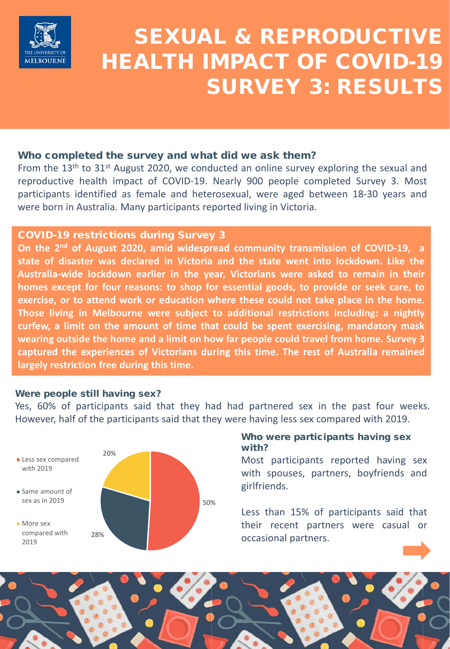

# SEXUAL & REPRODUCTIVE HEALTH IMPACT OF COVID-19 SURVEY 3: RESULTS

#### Who completed the survey and what did we ask them?

From the  $13<sup>th</sup>$  to  $31<sup>st</sup>$  August 2020, we conducted an online survey exploring the sexual and reproductive health impact of COVID-19. Nearly 900 people completed Survey 3. Most participants identified as female and heterosexual, were aged between 18-30 years and were born in Australia. Many participants reported living in Victoria.

#### COVID-19 restrictions during Survey 3

**On the 2nd of August 2020, amid widespread community transmission of COVID-19, a state of disaster was declared in Victoria and the state went into lockdown. Like the Australia-wide lockdown earlier in the year, Victorians were asked to remain in their homes except for four reasons: to shop for essential goods, to provide or seek care, to exercise, or to attend work or education where these could not take place in the home. Those living in Melbourne were subject to additional restrictions including: a nightly curfew, a limit on the amount of time that could be spent exercising, mandatory mask wearing outside the home and a limit on how far people could travel from home. Survey 3 captured the experiences of Victorians during this time. The rest of Australia remained largely restriction free during this time.**

#### Were people still having sex?

Yes, 60% of participants said that they had had partnered sex in the past four weeks. However, half of the participants said that they were having less sex compared with 2019.



## Who were participants having sex with?

Most participants reported having sex with spouses, partners, boyfriends and girlfriends.

Less than 15% of participants said that their recent partners were casual or occasional partners.